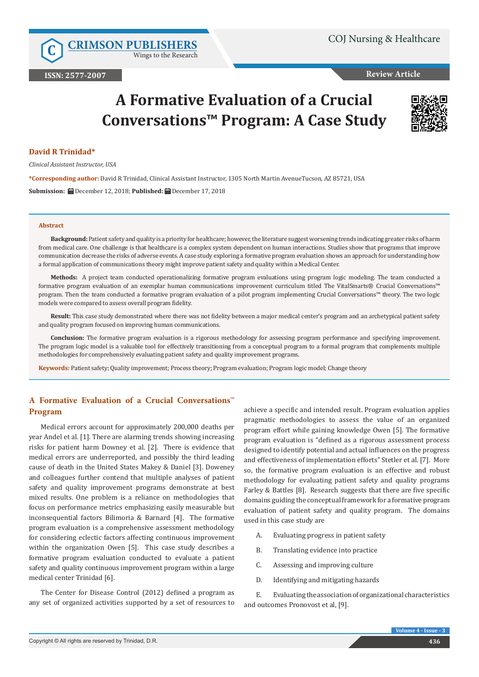**C [CRIMSON PUBLISHERS](http://crimsonpublishers.com/index.php)**

Wings to the Research

#### **Review Article**

# **A Formative Evaluation of a Crucial Conversations™ Program: A Case Study**



#### **David R Trinidad\***

*Clinical Assistant Instructor, USA*

**\*Corresponding author:** David R Trinidad, Clinical Assistant Instructor, 1305 North Martin AvenueTucson, AZ 85721, USA **Submission:** December 12, 2018; **Published:** December 17, 2018

#### **Abstract**

**Background:** Patient safety and quality is a priority for healthcare; however, the literature suggest worsening trends indicating greater risks of harm from medical care. One challenge is that healthcare is a complex system dependent on human interactions. Studies show that programs that improve communication decrease the risks of adverse events. A case study exploring a formative program evaluation shows an approach for understanding how a formal application of communications theory might improve patient safety and quality within a Medical Center.

**Methods:** A project team conducted operationalizing formative program evaluations using program logic modeling. The team conducted a formative program evaluation of an exemplar human communications improvement curriculum titled The VitalSmarts® Crucial Conversations™ program. Then the team conducted a formative program evaluation of a pilot program implementing Crucial Conversations™ theory. The two logic models were compared to assess overall program fidelity.

**Result:** This case study demonstrated where there was not fidelity between a major medical center's program and an archetypical patient safety and quality program focused on improving human communications.

**Conclusion:** The formative program evaluation is a rigorous methodology for assessing program performance and specifying improvement. The program logic model is a valuable tool for effectively transitioning from a conceptual program to a formal program that complements multiple methodologies for comprehensively evaluating patient safety and quality improvement programs.

**Keywords:** Patient safety; Quality improvement; Process theory; Program evaluation; Program logic model; Change theory

# **A Formative Evaluation of a Crucial Conversations™ Program**

Medical errors account for approximately 200,000 deaths per year Andel et al. [1]. There are alarming trends showing increasing risks for patient harm Downey et al. [2]. There is evidence that medical errors are underreported, and possibly the third leading cause of death in the United States Makey & Daniel [3]. Doweney and colleagues further contend that multiple analyses of patient safety and quality improvement programs demonstrate at best mixed results. One problem is a reliance on methodologies that focus on performance metrics emphasizing easily measurable but inconsequential factors Bilimoria & Barnard [4]. The formative program evaluation is a comprehensive assessment methodology for considering eclectic factors affecting continuous improvement within the organization Owen [5]. This case study describes a formative program evaluation conducted to evaluate a patient safety and quality continuous improvement program within a large medical center Trinidad [6].

The Center for Disease Control (2012) defined a program as any set of organized activities supported by a set of resources to achieve a specific and intended result. Program evaluation applies pragmatic methodologies to assess the value of an organized program effort while gaining knowledge Owen [5]. The formative program evaluation is "defined as a rigorous assessment process designed to identify potential and actual influences on the progress and effectiveness of implementation efforts" Stetler et al. [7]. More so, the formative program evaluation is an effective and robust methodology for evaluating patient safety and quality programs Farley & Battles [8]. Research suggests that there are five specific domains guiding the conceptual framework for a formative program evaluation of patient safety and quality program. The domains used in this case study are

- A. Evaluating progress in patient safety
- B. Translating evidence into practice
- C. Assessing and improving culture
- D. Identifying and mitigating hazards

E. Evaluating the association of organizational characteristics and outcomes Pronovost et al, [9].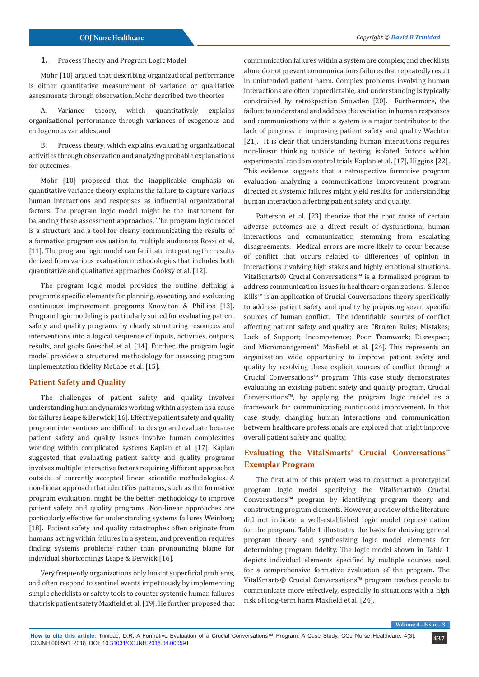#### **1.** Process Theory and Program Logic Model

Mohr [10] argued that describing organizational performance is either quantitative measurement of variance or qualitative assessments through observation. Mohr described two theories

A. Variance theory, which quantitatively explains organizational performance through variances of exogenous and endogenous variables, and

B. Process theory, which explains evaluating organizational activities through observation and analyzing probable explanations for outcomes.

Mohr [10] proposed that the inapplicable emphasis on quantitative variance theory explains the failure to capture various human interactions and responses as influential organizational factors. The program logic model might be the instrument for balancing these assessment approaches. The program logic model is a structure and a tool for clearly communicating the results of a formative program evaluation to multiple audiences Rossi et al. [11]. The program logic model can facilitate integrating the results derived from various evaluation methodologies that includes both quantitative and qualitative approaches Cooksy et al. [12].

The program logic model provides the outline defining a program's specific elements for planning, executing, and evaluating continuous improvement programs Knowlton & Phillips [13]. Program logic modeling is particularly suited for evaluating patient safety and quality programs by clearly structuring resources and interventions into a logical sequence of inputs, activities, outputs, results, and goals Goeschel et al. [14]. Further, the program logic model provides a structured methodology for assessing program implementation fidelity McCabe et al. [15].

### **Patient Safety and Quality**

The challenges of patient safety and quality involves understanding human dynamics working within a system as a cause for failures Leape & Berwick [16]. Effective patient safety and quality program interventions are difficult to design and evaluate because patient safety and quality issues involve human complexities working within complicated systems Kaplan et al. [17]. Kaplan suggested that evaluating patient safety and quality programs involves multiple interactive factors requiring different approaches outside of currently accepted linear scientific methodologies. A non-linear approach that identifies patterns, such as the formative program evaluation, might be the better methodology to improve patient safety and quality programs. Non-linear approaches are particularly effective for understanding systems failures Weinberg [18]. Patient safety and quality catastrophes often originate from humans acting within failures in a system, and prevention requires finding systems problems rather than pronouncing blame for individual shortcomings Leape & Berwick [16].

Very frequently organizations only look at superficial problems, and often respond to sentinel events impetuously by implementing simple checklists or safety tools to counter systemic human failures that risk patient safety Maxfield et al. [19]. He further proposed that communication failures within a system are complex, and checklists alone do not prevent communications failures that repeatedly result in unintended patient harm. Complex problems involving human interactions are often unpredictable, and understanding is typically constrained by retrospection Snowden [20]. Furthermore, the failure to understand and address the variation in human responses and communications within a system is a major contributor to the lack of progress in improving patient safety and quality Wachter [21]. It is clear that understanding human interactions requires non-linear thinking outside of testing isolated factors within experimental random control trials Kaplan et al. [17], Higgins [22]. This evidence suggests that a retrospective formative program evaluation analyzing a communications improvement program directed at systemic failures might yield results for understanding human interaction affecting patient safety and quality.

Patterson et al. [23] theorize that the root cause of certain adverse outcomes are a direct result of dysfunctional human interactions and communication stemming from escalating disagreements. Medical errors are more likely to occur because of conflict that occurs related to differences of opinion in interactions involving high stakes and highly emotional situations. VitalSmarts® Crucial Conversations™ is a formalized program to address communication issues in healthcare organizations. Silence Kills™ is an application of Crucial Conversations theory specifically to address patient safety and quality by proposing seven specific sources of human conflict. The identifiable sources of conflict affecting patient safety and quality are: "Broken Rules; Mistakes; Lack of Support; Incompetence; Poor Teamwork; Disrespect; and Micromanagement" Maxfield et al. [24]. This represents an organization wide opportunity to improve patient safety and quality by resolving these explicit sources of conflict through a Crucial Conversations™ program. This case study demonstrates evaluating an existing patient safety and quality program, Crucial Conversations™, by applying the program logic model as a framework for communicating continuous improvement. In this case study, changing human interactions and communication between healthcare professionals are explored that might improve overall patient safety and quality.

# **Evaluating the VitalSmarts® Crucial Conversations™ Exemplar Program**

The first aim of this project was to construct a prototypical program logic model specifying the VitalSmarts® Crucial Conversations™ program by identifying program theory and constructing program elements. However, a review of the literature did not indicate a well-established logic model representation for the program. Table 1 illustrates the basis for deriving general program theory and synthesizing logic model elements for determining program fidelity. The logic model shown in Table 1 depicts individual elements specified by multiple sources used for a comprehensive formative evaluation of the program. The VitalSmarts® Crucial Conversations™ program teaches people to communicate more effectively, especially in situations with a high risk of long-term harm Maxfield et al. [24].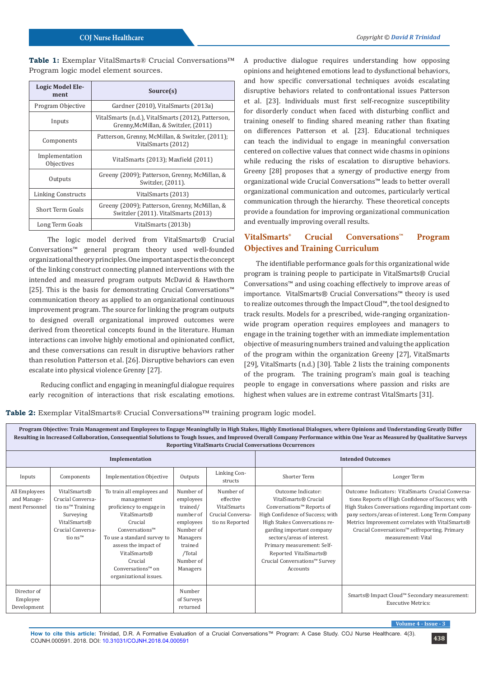**Table 1:** Exemplar VitalSmarts® Crucial Conversations™ Program logic model element sources.

| Logic Model Ele-<br>ment     | Source(s)                                                                                  |
|------------------------------|--------------------------------------------------------------------------------------------|
| Program Objective            | Gardner (2010), VitalSmarts (2013a)                                                        |
| Inputs                       | VitalSmarts (n.d.), VitalSmarts (2012), Patterson,<br>Grenny, McMillan, & Switzler, (2011) |
| Components                   | Patterson, Grenny, McMillan, & Switzler, (2011);<br>VitalSmarts (2012)                     |
| Implementation<br>Objectives | VitalSmarts (2013); Maxfield (2011)                                                        |
| Outputs                      | Greeny (2009); Patterson, Grenny, McMillan, &<br>Switzler, (2011).                         |
| Linking Constructs           | VitalSmarts (2013)                                                                         |
| <b>Short Term Goals</b>      | Greeny (2009); Patterson, Grenny, McMillan, &<br>Switzler (2011). VitalSmarts (2013)       |
| Long Term Goals              | VitalSmarts (2013b)                                                                        |

 The logic model derived from VitalSmarts® Crucial Conversations™ general program theory used well-founded organizational theory principles. One important aspect is the concept of the linking construct connecting planned interventions with the intended and measured program outputs McDavid & Hawthorn [25]. This is the basis for demonstrating Crucial Conversations™ communication theory as applied to an organizational continuous improvement program. The source for linking the program outputs to designed overall organizational improved outcomes were derived from theoretical concepts found in the literature. Human interactions can involve highly emotional and opinionated conflict, and these conversations can result in disruptive behaviors rather than resolution Patterson et al. [26]. Disruptive behaviors can even escalate into physical violence Grenny [27].

Reducing conflict and engaging in meaningful dialogue requires early recognition of interactions that risk escalating emotions.

A productive dialogue requires understanding how opposing opinions and heightened emotions lead to dysfunctional behaviors, and how specific conversational techniques avoids escalating disruptive behaviors related to confrontational issues Patterson et al. [23]. Individuals must first self-recognize susceptibility for disorderly conduct when faced with disturbing conflict and training oneself to finding shared meaning rather than fixating on differences Patterson et al. [23]. Educational techniques can teach the individual to engage in meaningful conversation centered on collective values that connect wide chasms in opinions while reducing the risks of escalation to disruptive behaviors. Greeny [28] proposes that a synergy of productive energy from organizational wide Crucial Conversations™ leads to better overall organizational communication and outcomes, particularly vertical communication through the hierarchy. These theoretical concepts provide a foundation for improving organizational communication and eventually improving overall results.

# **VitalSmarts® Crucial Conversations™ Program Objectives and Training Curriculum**

The identifiable performance goals for this organizational wide program is training people to participate in VitalSmarts® Crucial Conversations™ and using coaching effectively to improve areas of importance. VitalSmarts® Crucial Conversations™ theory is used to realize outcomes through the Impact Cloud™, the tool designed to track results. Models for a prescribed, wide-ranging organizationwide program operation requires employees and managers to engage in the training together with an immediate implementation objective of measuring numbers trained and valuing the application of the program within the organization Greeny [27], VitalSmarts [29], VitalSmarts (n.d.) [30]. Table 2 lists the training components of the program. The training program's main goal is teaching people to engage in conversations where passion and risks are highest when values are in extreme contrast VitalSmarts [31].

**Table 2:** Exemplar VitalSmarts® Crucial Conversations™ training program logic model.

**Program Objective: Train Management and Employees to Engage Meaningfully in High Stakes, Highly Emotional Dialogues, where Opinions and Understanding Greatly Differ Resulting in Increased Collaboration, Consequential Solutions to Tough Issues, and Improved Overall Company Performance within One Year as Measured by Qualitative Surveys Reporting VitalSmarts Crucial Conversations Occurrences**

| Implementation                                 |                                                                                                                         |                                                                                                                                                                                                                                                    |                                                                                                                                     | <b>Intended Outcomes</b>                                                      |                                                                                                                                                                                                                                                                                                                         |                                                                                                                                                                                                                                                                                                                                              |
|------------------------------------------------|-------------------------------------------------------------------------------------------------------------------------|----------------------------------------------------------------------------------------------------------------------------------------------------------------------------------------------------------------------------------------------------|-------------------------------------------------------------------------------------------------------------------------------------|-------------------------------------------------------------------------------|-------------------------------------------------------------------------------------------------------------------------------------------------------------------------------------------------------------------------------------------------------------------------------------------------------------------------|----------------------------------------------------------------------------------------------------------------------------------------------------------------------------------------------------------------------------------------------------------------------------------------------------------------------------------------------|
| Inputs                                         | Components                                                                                                              | <b>Implementation Objective</b>                                                                                                                                                                                                                    | Outputs                                                                                                                             | Linking Con-<br>structs                                                       | Shorter Term                                                                                                                                                                                                                                                                                                            | Longer Term                                                                                                                                                                                                                                                                                                                                  |
| All Employees<br>and Manage-<br>ment Personnel | VitalSmarts®<br>Crucial Conversa-<br>tio ns™ Training<br>Surveying<br>VitalSmarts®<br>Crucial Conversa-<br>tio $ns^{m}$ | To train all employees and<br>management<br>proficiency to engage in<br>VitalSmarts®<br>Crucial<br>Conversations™<br>To use a standard survey to<br>assess the impact of<br>VitalSmarts®<br>Crucial<br>Conversations™ on<br>organizational issues. | Number of<br>employees<br>trained/<br>number of<br>employees<br>Number of<br>Managers<br>trained<br>/Total<br>Number of<br>Managers | Number of<br>effective<br>VitalSmarts<br>Crucial Conversa-<br>tio ns Reported | Outcome Indicator:<br>VitalSmarts® Crucial<br>Conversations <sup>™</sup> Reports of<br>High Confidence of Success; with<br>High Stakes Conversations re-<br>garding important company<br>sectors/areas of interest.<br>Primary measurement: Self-<br>Reported VitalSmarts®<br>Crucial Conversations™ Survey<br>Accounts | Outcome Indicators: VitalSmarts Crucial Conversa-<br>tions Reports of High Confidence of Success; with<br>High Stakes Conversations regarding important com-<br>pany sectors/areas of interest. Long Term Company<br>Metrics Improvement correlates with VitalSmarts®<br>Crucial Conversations™ selfreporting. Primary<br>measurement: Vital |
| Director of<br>Employee<br>Development         |                                                                                                                         |                                                                                                                                                                                                                                                    | Number<br>of Surveys<br>returned                                                                                                    |                                                                               |                                                                                                                                                                                                                                                                                                                         | Smarts® Impact Cloud™ Secondary measurement:<br><b>Executive Metrics:</b>                                                                                                                                                                                                                                                                    |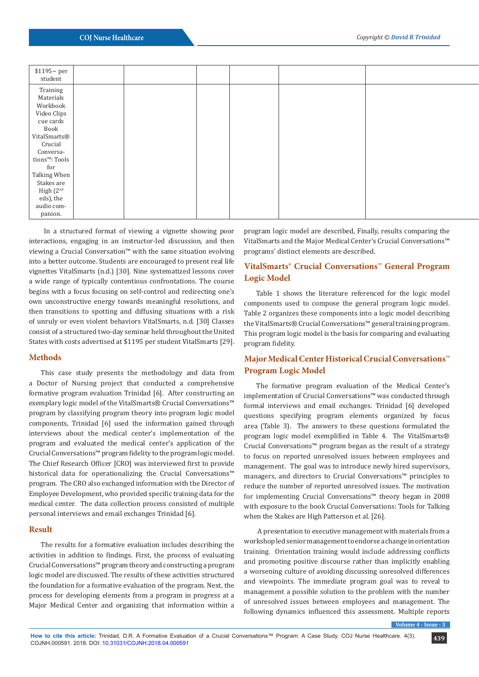| $$1195\sim$ per<br>student |  |  |  |
|----------------------------|--|--|--|
| Training                   |  |  |  |
| Materials                  |  |  |  |
| Workbook                   |  |  |  |
| Video Clips                |  |  |  |
| cue cards                  |  |  |  |
| Book                       |  |  |  |
| VitalSmarts®               |  |  |  |
| Crucial                    |  |  |  |
| Conversa-                  |  |  |  |
| tions™: Tools              |  |  |  |
| for                        |  |  |  |
| Talking When               |  |  |  |
| Stakes are                 |  |  |  |
| High (2 <sup>nd</sup>      |  |  |  |
| eds), the                  |  |  |  |
| audio com-                 |  |  |  |
| panion.                    |  |  |  |

 In a structured format of viewing a vignette showing poor interactions, engaging in an instructor-led discussion, and then viewing a Crucial Conversation™ with the same situation evolving into a better outcome. Students are encouraged to present real life vignettes VitalSmarts (n.d.) [30]. Nine systematized lessons cover a wide range of typically contentious confrontations. The course begins with a focus focusing on self-control and redirecting one's own unconstructive energy towards meaningful resolutions, and then transitions to spotting and diffusing situations with a risk of unruly or even violent behaviors VitalSmarts, n.d. [30] Classes consist of a structured two-day seminar held throughout the United States with costs advertised at \$1195 per student VitalSmarts [29].

## **Methods**

This case study presents the methodology and data from a Doctor of Nursing project that conducted a comprehensive formative program evaluation Trinidad [6]. After constructing an exemplary logic model of the VitalSmarts® Crucial Conversations™ program by classifying program theory into program logic model components, Trinidad [6] used the information gained through interviews about the medical center's implementation of the program and evaluated the medical center's application of the Crucial Conversations™ program fidelity to the program logic model. The Chief Research Officer [CRO] was interviewed first to provide historical data for operationalizing the Crucial Conversations™ program. The CRO also exchanged information with the Director of Employee Development, who provided specific training data for the medical center. The data collection process consisted of multiple personal interviews and email exchanges Trinidad [6].

#### **Result**

The results for a formative evaluation includes describing the activities in addition to findings. First, the process of evaluating Crucial Conversations™ program theory and constructing a program logic model are discussed. The results of these activities structured the foundation for a formative evaluation of the program. Next, the process for developing elements from a program in progress at a Major Medical Center and organizing that information within a

program logic model are described, Finally, results comparing the VitalSmarts and the Major Medical Center's Crucial Conversations™ programs' distinct elements are described.

## **VitalSmarts® Crucial Conversations™ General Program Logic Model**

Table 1 shows the literature referenced for the logic model components used to compose the general program logic model. Table 2 organizes these components into a logic model describing the VitalSmarts® Crucial Conversations™ general training program. This program logic model is the basis for comparing and evaluating program fidelity.

# **Major Medical Center Historical Crucial Conversations™ Program Logic Model**

The formative program evaluation of the Medical Center's implementation of Crucial Conversations™ was conducted through formal interviews and email exchanges. Trinidad [6] developed questions specifying program elements organized by focus area (Table 3). The answers to these questions formulated the program logic model exemplified in Table 4. The VitalSmarts® Crucial Conversations™ program began as the result of a strategy to focus on reported unresolved issues between employees and management. The goal was to introduce newly hired supervisors, managers, and directors to Crucial Conversations™ principles to reduce the number of reported unresolved issues. The motivation for implementing Crucial Conversations™ theory began in 2008 with exposure to the book Crucial Conversations: Tools for Talking when the Stakes are High Patterson et al. [26].

 A presentation to executive management with materials from a workshop led senior management to endorse a change in orientation training. Orientation training would include addressing conflicts and promoting positive discourse rather than implicitly enabling a worsening culture of avoiding discussing unresolved differences and viewpoints. The immediate program goal was to reveal to management a possible solution to the problem with the number of unresolved issues between employees and management. The following dynamics influenced this assessment. Multiple reports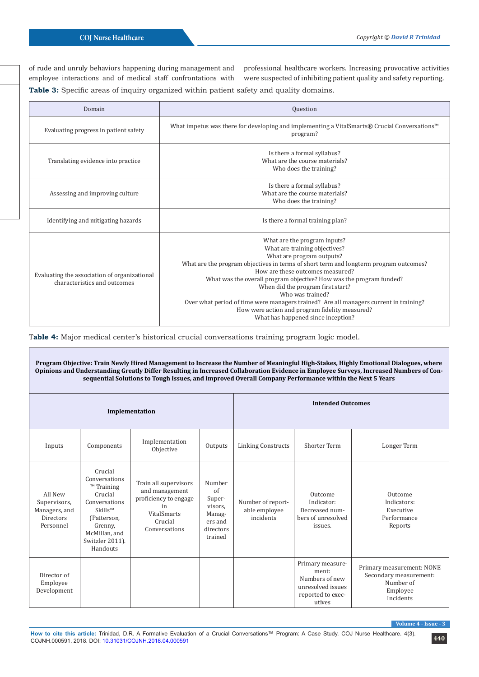of rude and unruly behaviors happening during management and employee interactions and of medical staff confrontations with **Table 3:** Specific areas of inquiry organized within patient safety and quality domains.

professional healthcare workers. Increasing provocative activities were suspected of inhibiting patient quality and safety reporting.

| Domain                                                                       | Question                                                                                                                                                                                                                                                                                                                                                                                                                                                                                                                                 |
|------------------------------------------------------------------------------|------------------------------------------------------------------------------------------------------------------------------------------------------------------------------------------------------------------------------------------------------------------------------------------------------------------------------------------------------------------------------------------------------------------------------------------------------------------------------------------------------------------------------------------|
| Evaluating progress in patient safety                                        | What impetus was there for developing and implementing a VitalSmarts® Crucial Conversations™<br>program?                                                                                                                                                                                                                                                                                                                                                                                                                                 |
| Translating evidence into practice                                           | Is there a formal syllabus?<br>What are the course materials?<br>Who does the training?                                                                                                                                                                                                                                                                                                                                                                                                                                                  |
| Assessing and improving culture                                              | Is there a formal syllabus?<br>What are the course materials?<br>Who does the training?                                                                                                                                                                                                                                                                                                                                                                                                                                                  |
| Identifying and mitigating hazards                                           | Is there a formal training plan?                                                                                                                                                                                                                                                                                                                                                                                                                                                                                                         |
| Evaluating the association of organizational<br>characteristics and outcomes | What are the program inputs?<br>What are training objectives?<br>What are program outputs?<br>What are the program objectives in terms of short term and longterm program outcomes?<br>How are these outcomes measured?<br>What was the overall program objective? How was the program funded?<br>When did the program first start?<br>Who was trained?<br>Over what period of time were managers trained? Are all managers current in training?<br>How were action and program fidelity measured?<br>What has happened since inception? |

T**able 4:** Major medical center's historical crucial conversations training program logic model.

**Program Objective: Train Newly Hired Management to Increase the Number of Meaningful High-Stakes, Highly Emotional Dialogues, where Opinions and Understanding Greatly Differ Resulting in Increased Collaboration Evidence in Employee Surveys, Increased Numbers of Consequential Solutions to Tough Issues, and Improved Overall Company Performance within the Next 5 Years**

| Implementation                                                     |                                                                                                                                                               |                                                                                                                          | <b>Intended Outcomes</b>                                                       |                                                 |                                                                                                 |                                                                                           |
|--------------------------------------------------------------------|---------------------------------------------------------------------------------------------------------------------------------------------------------------|--------------------------------------------------------------------------------------------------------------------------|--------------------------------------------------------------------------------|-------------------------------------------------|-------------------------------------------------------------------------------------------------|-------------------------------------------------------------------------------------------|
| Inputs                                                             | Components                                                                                                                                                    | Implementation<br>Objective                                                                                              | Outputs                                                                        | <b>Linking Constructs</b>                       | Shorter Term                                                                                    | Longer Term                                                                               |
| All New<br>Supervisors,<br>Managers, and<br>Directors<br>Personnel | Crucial<br>Conversations<br>™ Training<br>Crucial<br>Conversations<br>$Skills^{TM}$<br>(Patterson,<br>Grenny,<br>McMillan, and<br>Switzler 2011).<br>Handouts | Train all supervisors<br>and management<br>proficiency to engage<br>in<br><b>VitalSmarts</b><br>Crucial<br>Conversations | Number<br>of<br>Super-<br>visors,<br>Manag-<br>ers and<br>directors<br>trained | Number of report-<br>able employee<br>incidents | Outcome<br>Indicator:<br>Decreased num-<br>bers of unresolved<br>issues.                        | Outcome<br>Indicators:<br>Executive<br>Performance<br>Reports                             |
| Director of<br>Employee<br>Development                             |                                                                                                                                                               |                                                                                                                          |                                                                                |                                                 | Primary measure-<br>ment:<br>Numbers of new<br>unresolved issues<br>reported to exec-<br>utives | Primary measurement: NONE<br>Secondary measurement:<br>Number of<br>Employee<br>Incidents |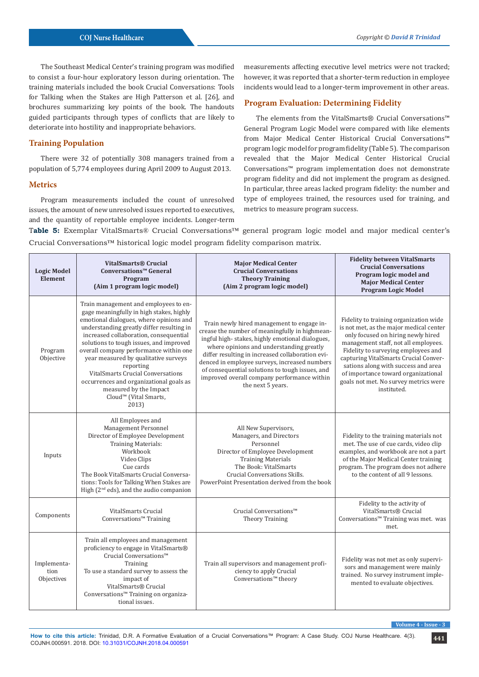The Southeast Medical Center's training program was modified to consist a four-hour exploratory lesson during orientation. The training materials included the book Crucial Conversations: Tools for Talking when the Stakes are High Patterson et al. [26], and brochures summarizing key points of the book. The handouts guided participants through types of conflicts that are likely to deteriorate into hostility and inappropriate behaviors.

#### **Training Population**

There were 32 of potentially 308 managers trained from a population of 5,774 employees during April 2009 to August 2013.

#### **Metrics**

Program measurements included the count of unresolved issues, the amount of new unresolved issues reported to executives, and the quantity of reportable employee incidents. Longer-term measurements affecting executive level metrics were not tracked; however, it was reported that a shorter-term reduction in employee incidents would lead to a longer-term improvement in other areas.

#### **Program Evaluation: Determining Fidelity**

The elements from the VitalSmarts® Crucial Conversations™ General Program Logic Model were compared with like elements from Major Medical Center Historical Crucial Conversations™ program logic model for program fidelity (Table 5). The comparison revealed that the Major Medical Center Historical Crucial Conversations™ program implementation does not demonstrate program fidelity and did not implement the program as designed. In particular, three areas lacked program fidelity: the number and type of employees trained, the resources used for training, and metrics to measure program success.

T**able 5:** Exemplar VitalSmarts® Crucial Conversations™ general program logic model and major medical center's Crucial Conversations™ historical logic model program fidelity comparison matrix.

| <b>Logic Model</b><br><b>Element</b> | <b>VitalSmarts® Crucial</b><br>Conversations™ General<br>Program<br>(Aim 1 program logic model)                                                                                                                                                                                                                                                                                                                                                                                                                              | <b>Major Medical Center</b><br><b>Crucial Conversations</b><br><b>Theory Training</b><br>(Aim 2 program logic model)                                                                                                                                                                                                                                                                                                    | <b>Fidelity between VitalSmarts</b><br><b>Crucial Conversations</b><br>Program logic model and<br><b>Major Medical Center</b><br><b>Program Logic Model</b>                                                                                                                                                                                                                           |
|--------------------------------------|------------------------------------------------------------------------------------------------------------------------------------------------------------------------------------------------------------------------------------------------------------------------------------------------------------------------------------------------------------------------------------------------------------------------------------------------------------------------------------------------------------------------------|-------------------------------------------------------------------------------------------------------------------------------------------------------------------------------------------------------------------------------------------------------------------------------------------------------------------------------------------------------------------------------------------------------------------------|---------------------------------------------------------------------------------------------------------------------------------------------------------------------------------------------------------------------------------------------------------------------------------------------------------------------------------------------------------------------------------------|
| Program<br>Objective                 | Train management and employees to en-<br>gage meaningfully in high stakes, highly<br>emotional dialogues, where opinions and<br>understanding greatly differ resulting in<br>increased collaboration, consequential<br>solutions to tough issues, and improved<br>overall company performance within one<br>year measured by qualitative surveys<br>reporting<br><b>VitalSmarts Crucial Conversations</b><br>occurrences and organizational goals as<br>measured by the Impact<br>Cloud <sup>™</sup> (Vital Smarts,<br>2013) | Train newly hired management to engage in-<br>crease the number of meaningfully in highmean-<br>ingful high-stakes, highly emotional dialogues,<br>where opinions and understanding greatly<br>differ resulting in increased collaboration evi-<br>denced in employee surveys, increased numbers<br>of consequential solutions to tough issues, and<br>improved overall company performance within<br>the next 5 years. | Fidelity to training organization wide<br>is not met, as the major medical center<br>only focused on hiring newly hired<br>management staff, not all employees.<br>Fidelity to surveying employees and<br>capturing VitalSmarts Crucial Conver-<br>sations along with success and area<br>of importance toward organizational<br>goals not met. No survey metrics were<br>instituted. |
| Inputs                               | All Employees and<br>Management Personnel<br>Director of Employee Development<br><b>Training Materials:</b><br>Workbook<br>Video Clips<br>Cue cards<br>The Book VitalSmarts Crucial Conversa-<br>tions: Tools for Talking When Stakes are<br>High (2 <sup>nd</sup> eds), and the audio companion                                                                                                                                                                                                                             | All New Supervisors,<br>Managers, and Directors<br>Personnel<br>Director of Employee Development<br><b>Training Materials</b><br>The Book: VitalSmarts<br>Crucial Conversations Skills.<br>PowerPoint Presentation derived from the book                                                                                                                                                                                | Fidelity to the training materials not<br>met. The use of cue cards, video clip<br>examples, and workbook are not a part<br>of the Major Medical Center training<br>program. The program does not adhere<br>to the content of all 9 lessons.                                                                                                                                          |
| Components                           | <b>VitalSmarts Crucial</b><br>Conversations™ Training                                                                                                                                                                                                                                                                                                                                                                                                                                                                        | Crucial Conversations™<br><b>Theory Training</b>                                                                                                                                                                                                                                                                                                                                                                        | Fidelity to the activity of<br>VitalSmarts® Crucial<br>Conversations™ Training was met. was<br>met.                                                                                                                                                                                                                                                                                   |
| Implementa-<br>tion<br>Objectives    | Train all employees and management<br>proficiency to engage in VitalSmarts®<br>Crucial Conversations™<br>Training<br>To use a standard survey to assess the<br>impact of<br>VitalSmarts® Crucial<br>Conversations™ Training on organiza-<br>tional issues.                                                                                                                                                                                                                                                                   | Train all supervisors and management profi-<br>ciency to apply Crucial<br>Conversations™ theory                                                                                                                                                                                                                                                                                                                         | Fidelity was not met as only supervi-<br>sors and management were mainly<br>trained. No survey instrument imple-<br>mented to evaluate objectives.                                                                                                                                                                                                                                    |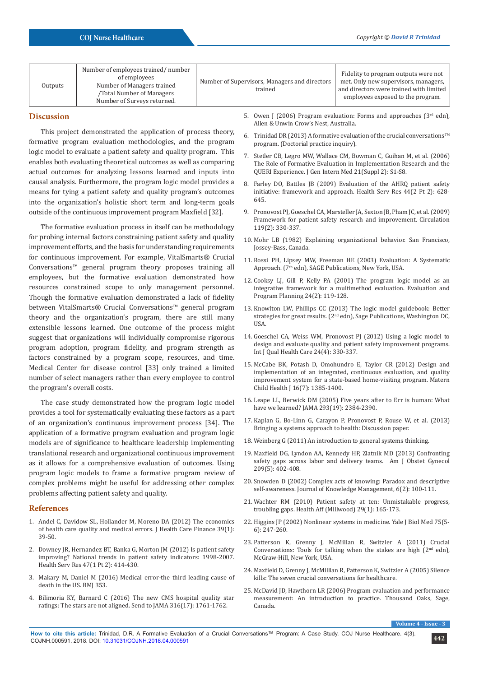| Outputs | Number of employees trained/number<br>of employees<br>Number of Managers trained<br>/Total Number of Managers<br>Number of Surveys returned. | Number of Supervisors, Managers and directors<br>trained | Fidelity to program outputs were not<br>met. Only new supervisors, managers,<br>and directors were trained with limited<br>employees exposed to the program. |
|---------|----------------------------------------------------------------------------------------------------------------------------------------------|----------------------------------------------------------|--------------------------------------------------------------------------------------------------------------------------------------------------------------|
|---------|----------------------------------------------------------------------------------------------------------------------------------------------|----------------------------------------------------------|--------------------------------------------------------------------------------------------------------------------------------------------------------------|

#### **Discussion**

This project demonstrated the application of process theory, formative program evaluation methodologies, and the program logic model to evaluate a patient safety and quality program. This enables both evaluating theoretical outcomes as well as comparing actual outcomes for analyzing lessons learned and inputs into causal analysis. Furthermore, the program logic model provides a means for tying a patient safety and quality program's outcomes into the organization's holistic short term and long-term goals outside of the continuous improvement program Maxfield [32].

The formative evaluation process in itself can be methodology for probing internal factors constraining patient safety and quality improvement efforts, and the basis for understanding requirements for continuous improvement. For example, VitalSmarts® Crucial Conversations™ general program theory proposes training all employees, but the formative evaluation demonstrated how resources constrained scope to only management personnel. Though the formative evaluation demonstrated a lack of fidelity between VitalSmarts® Crucial Conversations™ general program theory and the organization's program, there are still many extensible lessons learned. One outcome of the process might suggest that organizations will individually compromise rigorous program adoption, program fidelity, and program strength as factors constrained by a program scope, resources, and time. Medical Center for disease control [33] only trained a limited number of select managers rather than every employee to control the program's overall costs.

The case study demonstrated how the program logic model provides a tool for systematically evaluating these factors as a part of an organization's continuous improvement process [34]. The application of a formative program evaluation and program logic models are of significance to healthcare leadership implementing translational research and organizational continuous improvement as it allows for a comprehensive evaluation of outcomes. Using program logic models to frame a formative program review of complex problems might be useful for addressing other complex problems affecting patient safety and quality.

#### **References**

- 1. [Andel C, Davidow SL, Hollander M, Moreno DA \(2012\) The economics](https://www.ncbi.nlm.nih.gov/pubmed/23155743)  [of health care quality and medical errors. J Health Care Finance 39\(1\):](https://www.ncbi.nlm.nih.gov/pubmed/23155743)  [39-50.](https://www.ncbi.nlm.nih.gov/pubmed/23155743)
- 2. [Downey JR, Hernandez BT, Banka G, Morton JM \(2012\) Is patient safety](https://www.ncbi.nlm.nih.gov/pubmed/22150789)  [improving? National trends in patient safety indicators: 1998-2007.](https://www.ncbi.nlm.nih.gov/pubmed/22150789)  [Health Serv Res 47\(1 Pt 2\): 414-430.](https://www.ncbi.nlm.nih.gov/pubmed/22150789)
- 3. [Makary M, Daniel M \(2016\) Medical error-the third leading cause of](https://www.ncbi.nlm.nih.gov/pubmed/27143499)  [death in the US. BMJ 353.](https://www.ncbi.nlm.nih.gov/pubmed/27143499)
- 4. [Bilimoria KY, Barnard C \(2016\) The new CMS hospital quality star](https://www.ncbi.nlm.nih.gov/pubmed/27802552)  [ratings: The stars are not aligned. Send to JAMA 316\(17\): 1761-1762.](https://www.ncbi.nlm.nih.gov/pubmed/27802552)

| 5. Owen J (2006) Program evaluation: Forms and approaches ( $3rd$ edn),<br>Allen & Unwin Crow's Nest, Australia. |
|------------------------------------------------------------------------------------------------------------------|

- 6. Trinidad DR (2013) A formative evaluation of the crucial conversations<sup>TM</sup> program. (Doctorial practice inquiry).
- 7. [Stetler CB, Legro MW, Wallace CM, Bowman C, Guihan M, et al. \(2006\)](https://www.ncbi.nlm.nih.gov/pubmed/16637954) [The Role of Formative Evaluation in Implementation Research and the](https://www.ncbi.nlm.nih.gov/pubmed/16637954) [QUERI Experience. J Gen Intern Med 21\(Suppl 2\): S1-S8.](https://www.ncbi.nlm.nih.gov/pubmed/16637954)
- 8. [Farley DO, Battles JB \(2009\) Evaluation of the AHRQ patient safety](https://www.ncbi.nlm.nih.gov/pubmed/21456107) [initiative: framework and approach. Health Serv Res 44\(2 Pt 2\): 628-](https://www.ncbi.nlm.nih.gov/pubmed/21456107) [645.](https://www.ncbi.nlm.nih.gov/pubmed/21456107)
- 9. [Pronovost PJ, Goeschel CA, Marsteller JA, Sexton JB, Pham JC, et al. \(2009\)](https://www.ncbi.nlm.nih.gov/pubmed/19153284) [Framework for patient safety research and improvement. Circulation](https://www.ncbi.nlm.nih.gov/pubmed/19153284) [119\(2\): 330-337.](https://www.ncbi.nlm.nih.gov/pubmed/19153284)
- 10. Mohr LB (1982) Explaining organizational behavior. San Francisco, Jossey-Bass, Canada.
- 11. Rossi PH, Lipsey MW, Freeman HE (2003) Evaluation: A Systematic Approach. (7<sup>th</sup> edn), SAGE Publications, New York, USA.
- 12. [Co](https://www.sciencedirect.com/science/article/abs/pii/S0149718901000039)[oksy LJ, Gill P, Kelly PA \(2001\) The program logic model as an](https://www.sciencedirect.com/science/article/abs/pii/S0149718901000039) [integrative framework for a multimethod evaluation. Evaluation and](https://www.sciencedirect.com/science/article/abs/pii/S0149718901000039) [Program Planning 24\(2\): 119-128.](https://www.sciencedirect.com/science/article/abs/pii/S0149718901000039)
- 13. Knowlton LW, Phillips CC (2013) The logic model guidebook: Better strategies for great results. (2<sup>nd</sup> edn), Sage Publications, Washington DC, **IISA**
- 14. [Goeschel CA, Weiss WM, Pronovost PJ \(2012\) Using a logic model to](https://www.ncbi.nlm.nih.gov/pubmed/22745358) [design and evaluate quality and patient safety improvement programs.](https://www.ncbi.nlm.nih.gov/pubmed/22745358) [Int J Qual Health Care 24\(4\): 330-337.](https://www.ncbi.nlm.nih.gov/pubmed/22745358)
- 15. [McCabe BK, Potash D, Omohundro E, Taylor CR \(2012\) Design and](https://www.ncbi.nlm.nih.gov/pubmed/22246713) [implementation of an integrated, continuous evaluation, and quality](https://www.ncbi.nlm.nih.gov/pubmed/22246713) [improvement system for a state-based home-visiting program. Matern](https://www.ncbi.nlm.nih.gov/pubmed/22246713) [Child Health J 16\(7\): 1385-1400.](https://www.ncbi.nlm.nih.gov/pubmed/22246713)
- 16. [Leape LL, Berwick DM \(2005\) Five years after to Err is human: What](https://www.ncbi.nlm.nih.gov/pubmed/15900009) [have we learned? JAMA 293\(19\): 2384-2390.](https://www.ncbi.nlm.nih.gov/pubmed/15900009)
- 17. Kaplan G, Bo-Linn G, Carayon P, Pronovost P, Rouse W, et al. (2013) Bringing a systems approach to health: Discussion paper.
- 18. Weinberg G (2011) An introduction to general systems thinking.
- 19. [Maxfield DG, Lyndon AA, Kennedy HP, Zlatnik MD \(2013\) Confronting](https://www.ncbi.nlm.nih.gov/pubmed/23871951) [safety gaps across labor and delivery teams. Am J Obstet Gynecol](https://www.ncbi.nlm.nih.gov/pubmed/23871951) [209\(5\): 402-408.](https://www.ncbi.nlm.nih.gov/pubmed/23871951)
- 20. [Snowden D \(2002\) Complex acts of knowing: Paradox and descriptive](http://citeseerx.ist.psu.edu/viewdoc/summary?doi=10.1.1.202.7819) [self-awareness. Journal of Knowledge Management, 6\(2\): 100-111.](http://citeseerx.ist.psu.edu/viewdoc/summary?doi=10.1.1.202.7819)
- 21. [Wachter RM \(2010\) Patient safety at ten: Unmistakable progress,](https://www.ncbi.nlm.nih.gov/pubmed/19952010) [troubling gaps. Health Aff \(Millwood\) 29\(1\): 165-173.](https://www.ncbi.nlm.nih.gov/pubmed/19952010)
- 22. [Higgins JP \(2002\) Nonlinear systems in medicine. Yale J Biol Med 75\(5-](https://www.ncbi.nlm.nih.gov/pubmed/14580107) [6\): 247-260.](https://www.ncbi.nlm.nih.gov/pubmed/14580107)
- 23. Patterson K, Grenny J, McMillan R, Switzler A (2011) Crucial Conversations: Tools for talking when the stakes are high  $(2<sup>nd</sup> edn)$ , McGraw-Hill, New York, USA.
- 24. [Maxfield D, Grenny J, McMillian R, Patterson K, Switzler A \(2005\) Silence](https://psnet.ahrq.gov/resources/resource/1149) [kills: The seven crucial conversations for healthcare.](https://psnet.ahrq.gov/resources/resource/1149)
- 25. McDavid JD, Hawthorn LR (2006) Program evaluation and performance measurement: An introduction to practice. Thousand Oaks, Sage, Canada.